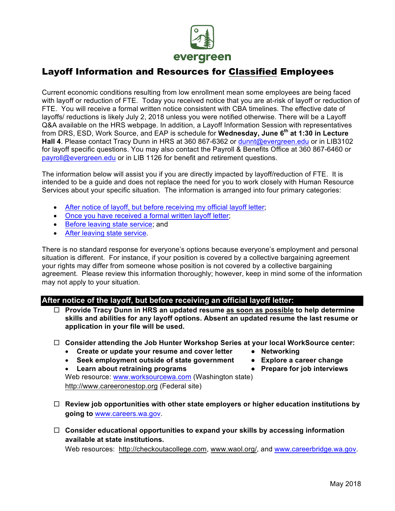

# Layoff Information and Resources for Classified Employees

Current economic conditions resulting from low enrollment mean some employees are being faced with layoff or reduction of FTE. Today you received notice that you are at-risk of layoff or reduction of FTE. You will receive a formal written notice consistent with CBA timelines. The effective date of layoffs/ reductions is likely July 2, 2018 unless you were notified otherwise. There will be a Layoff Q&A available on the HRS webpage. In addition, a Layoff Information Session with representatives from DRS, ESD, Work Source, and EAP is schedule for **Wednesday, June 6th at 1:30 in Lecture Hall 4**. Please contact Tracy Dunn in HRS at 360 867-6362 or dunnt@evergreen.edu or in LIB3102 for layoff specific questions. You may also contact the Payroll & Benefits Office at 360 867-6460 or payroll@evergreen.edu or in LIB 1126 for benefit and retirement questions.

The information below will assist you if you are directly impacted by layoff/reduction of FTE. It is intended to be a guide and does not replace the need for you to work closely with Human Resource Services about your specific situation. The information is arranged into four primary categories:

- After notice of layoff, but before receiving my official layoff letter;
- Once you have received a formal written layoff letter;
- Before leaving state service; and
- After leaving state service.

There is no standard response for everyone's options because everyone's employment and personal situation is different. For instance, if your position is covered by a collective bargaining agreement your rights may differ from someone whose position is not covered by a collective bargaining agreement. Please review this information thoroughly; however, keep in mind some of the information may not apply to your situation.

## **After notice of the layoff, but before receiving an official layoff letter:**

¨ **Provide Tracy Dunn in HRS an updated resume as soon as possible to help determine skills and abilities for any layoff options. Absent an updated resume the last resume or application in your file will be used.** 

## ¨ **Consider attending the Job Hunter Workshop Series at your local WorkSource center:**

- Create or update your resume and cover letter Networking
- **Seek employment outside of state government Explore a career change**
- **Learn about retraining programs Prepare for job interviews**
- 
- -

Web resource: www.worksourcewa.com (Washington state) http://www.careeronestop.org (Federal site)

- □ Review job opportunities with other state employers or higher education institutions by **going to** www.careers.wa.gov.
- ¨ **Consider educational opportunities to expand your skills by accessing information available at state institutions.**

Web resources: http://checkoutacollege.com, www.waol.org/, and www.careerbridge.wa.gov.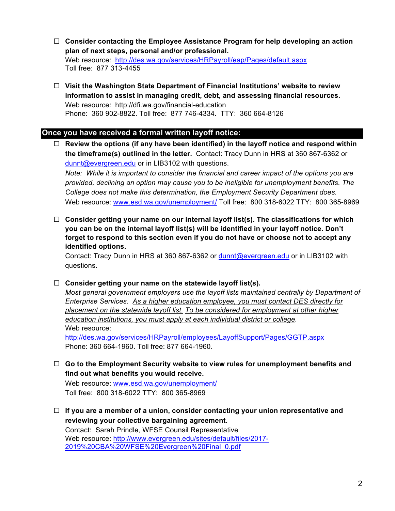- ¨ **Consider contacting the Employee Assistance Program for help developing an action plan of next steps, personal and/or professional.** Web resource: http://des.wa.gov/services/HRPayroll/eap/Pages/default.aspx Toll free: 877 313-4455
- ¨ **Visit the Washington State Department of Financial Institutions' website to review information to assist in managing credit, debt, and assessing financial resources.** Web resource: http://dfi.wa.gov/financial-education Phone: 360 902-8822. Toll free: 877 746-4334. TTY: 360 664-8126

# **Once you have received a formal written layoff notice:**

¨ **Review the options (if any have been identified) in the layoff notice and respond within the timeframe(s) outlined in the letter.** Contact: Tracy Dunn in HRS at 360 867-6362 or dunnt@evergreen.edu or in LIB3102 with questions.

*Note: While it is important to consider the financial and career impact of the options you are provided, declining an option may cause you to be ineligible for unemployment benefits. The College does not make this determination, the Employment Security Department does.*  Web resource: www.esd.wa.gov/unemployment/ Toll free: 800 318-6022 TTY: 800 365-8969

¨ **Consider getting your name on our internal layoff list(s). The classifications for which you can be on the internal layoff list(s) will be identified in your layoff notice. Don't forget to respond to this section even if you do not have or choose not to accept any identified options.** 

Contact: Tracy Dunn in HRS at 360 867-6362 or dunnt@evergreen.edu or in LIB3102 with questions.

## ¨ **Consider getting your name on the statewide layoff list(s).**

*Most general government employers use the layoff lists maintained centrally by Department of Enterprise Services. As a higher education employee, you must contact DES directly for placement on the statewide layoff list. To be considered for employment at other higher education institutions, you must apply at each individual district or college.* Web resource: http://des.wa.gov/services/HRPayroll/employees/LayoffSupport/Pages/GGTP.aspx

Phone: 360 664-1960. Toll free: 877 664-1960.

¨ **Go to the Employment Security website to view rules for unemployment benefits and find out what benefits you would receive.** 

Web resource: www.esd.wa.gov/unemployment/ Toll free: 800 318-6022 TTY: 800 365-8969

¨ **If you are a member of a union, consider contacting your union representative and reviewing your collective bargaining agreement.**  Contact: Sarah Prindle, WFSE Counsil Representative Web resource: http://www.evergreen.edu/sites/default/files/2017- 2019%20CBA%20WFSE%20Evergreen%20Final\_0.pdf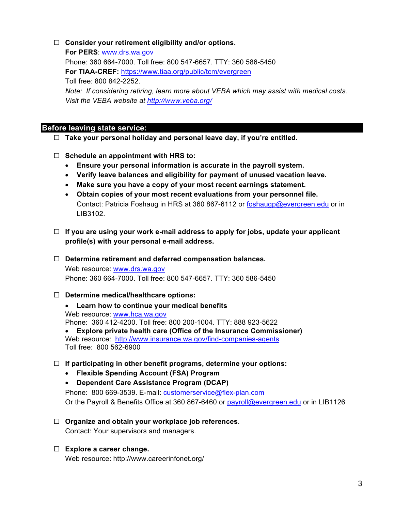# □ Consider your retirement eligibility and/or options.

**For PERS**: www.drs.wa.gov Phone: 360 664-7000. Toll free: 800 547-6657. TTY: 360 586-5450 **For TIAA-CREF:** https://www.tiaa.org/public/tcm/evergreen Toll free: 800 842-2252. *Note: If considering retiring, learn more about VEBA which may assist with medical costs. Visit the VEBA website at http://www.veba.org/*

# **Before leaving state service:**

- ¨ **Take your personal holiday and personal leave day, if you're entitled.**
- □ Schedule an appointment with HRS to:
	- **Ensure your personal information is accurate in the payroll system.**
	- **Verify leave balances and eligibility for payment of unused vacation leave.**
	- **Make sure you have a copy of your most recent earnings statement.**
	- **Obtain copies of your most recent evaluations from your personnel file.** Contact: Patricia Foshaug in HRS at 360 867-6112 or foshaugp@evergreen.edu or in LIB3102.
- $\Box$  If you are using your work e-mail address to apply for jobs, update your applicant **profile(s) with your personal e-mail address.**

#### □ Determine retirement and deferred compensation balances.

Web resource: www.drs.wa.gov Phone: 360 664-7000. Toll free: 800 547-6657. TTY: 360 586-5450

## ¨ **Determine medical/healthcare options:**

- **Learn how to continue your medical benefits** Web resource: www.hca.wa.gov Phone: 360 412-4200. Toll free: 800 200-1004. TTY: 888 923-5622 • **Explore private health care (Office of the Insurance Commissioner)** Web resource: http://www.insurance.wa.gov/find-companies-agents Toll free: 800 562-6900
- ¨ **If participating in other benefit programs, determine your options:**
	- **Flexible Spending Account (FSA) Program**
	- **Dependent Care Assistance Program (DCAP)**

Phone: 800 669-3539. E-mail: customerservice@flex-plan.com Or the Payroll & Benefits Office at 360 867-6460 or payroll@evergreen.edu or in LIB1126

- □ Organize and obtain your workplace job references. Contact: Your supervisors and managers.
- ¨ **Explore a career change.** Web resource: http://www.careerinfonet.org/